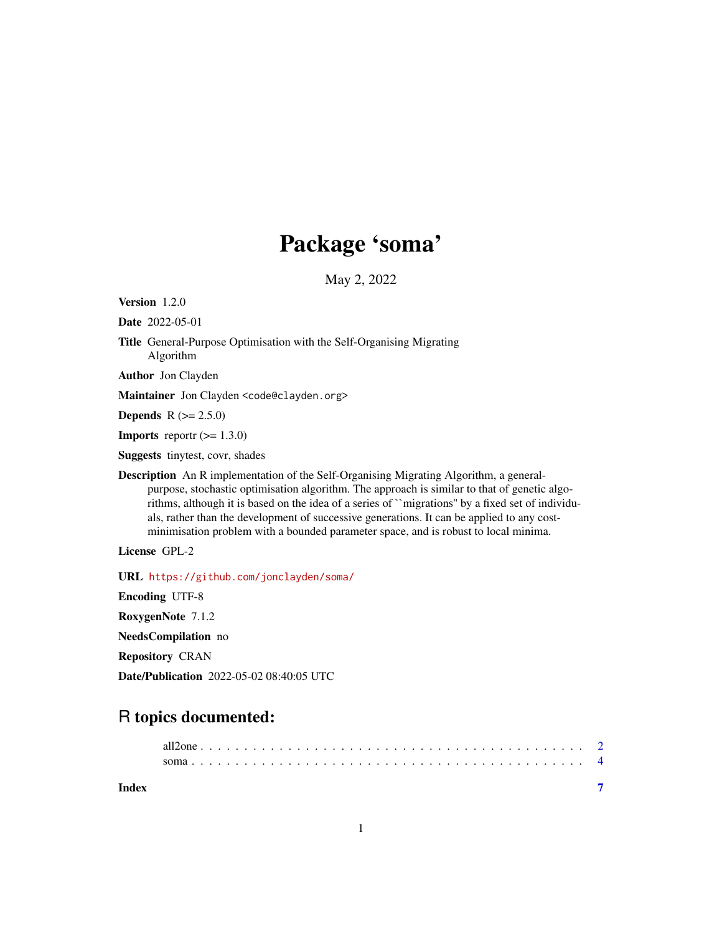# Package 'soma'

May 2, 2022

<span id="page-0-0"></span>Version 1.2.0

Date 2022-05-01

Title General-Purpose Optimisation with the Self-Organising Migrating Algorithm

Author Jon Clayden

Maintainer Jon Clayden <code@clayden.org>

**Depends** R  $(>= 2.5.0)$ 

**Imports** report  $(>= 1.3.0)$ 

Suggests tinytest, covr, shades

Description An R implementation of the Self-Organising Migrating Algorithm, a generalpurpose, stochastic optimisation algorithm. The approach is similar to that of genetic algorithms, although it is based on the idea of a series of ``migrations'' by a fixed set of individuals, rather than the development of successive generations. It can be applied to any costminimisation problem with a bounded parameter space, and is robust to local minima.

License GPL-2

URL <https://github.com/jonclayden/soma/>

Encoding UTF-8

RoxygenNote 7.1.2

NeedsCompilation no

Repository CRAN

Date/Publication 2022-05-02 08:40:05 UTC

## R topics documented:

| Index |  |  |  |  |  |  |  |  |  |  |  |  |  |  |  |  |  |  |  |  |  |
|-------|--|--|--|--|--|--|--|--|--|--|--|--|--|--|--|--|--|--|--|--|--|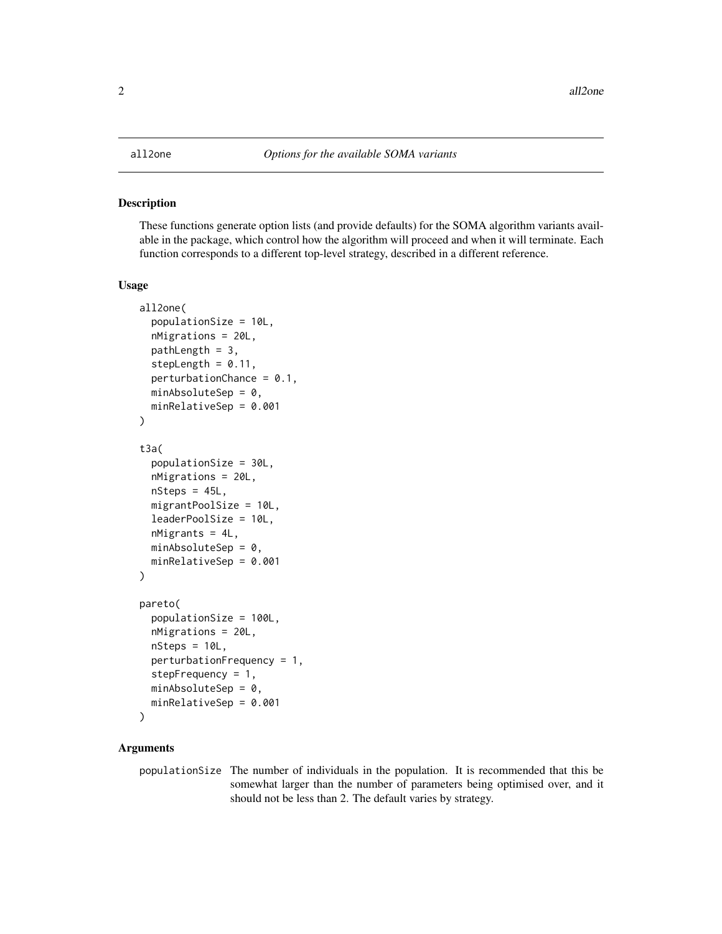#### <span id="page-1-2"></span><span id="page-1-1"></span><span id="page-1-0"></span>Description

These functions generate option lists (and provide defaults) for the SOMA algorithm variants available in the package, which control how the algorithm will proceed and when it will terminate. Each function corresponds to a different top-level strategy, described in a different reference.

#### Usage

```
all2one(
  populationSize = 10L,
  nMigrations = 20L,
 pathLength = 3,
  stepLength = 0.11,
  perturbationChance = 0.1,
 minAbsoluteSep = 0,minRelativeSep = 0.001
)
t3a(
  populationSize = 30L,
  nMigrations = 20L,
  nSteps = 45L,
 migrantPoolSize = 10L,
  leaderPoolSize = 10L,
  nMigrants = 4L,
 minAbsoluteSep = 0,minRelativeSep = 0.001
)
pareto(
  populationSize = 100L,
  nMigrations = 20L,
  nSteps = 10L,
  perturbationFrequency = 1,
  stepFrequency = 1,
 minAbsoluteSep = 0,minRelativeSep = 0.001
)
```
#### Arguments

populationSize The number of individuals in the population. It is recommended that this be somewhat larger than the number of parameters being optimised over, and it should not be less than 2. The default varies by strategy.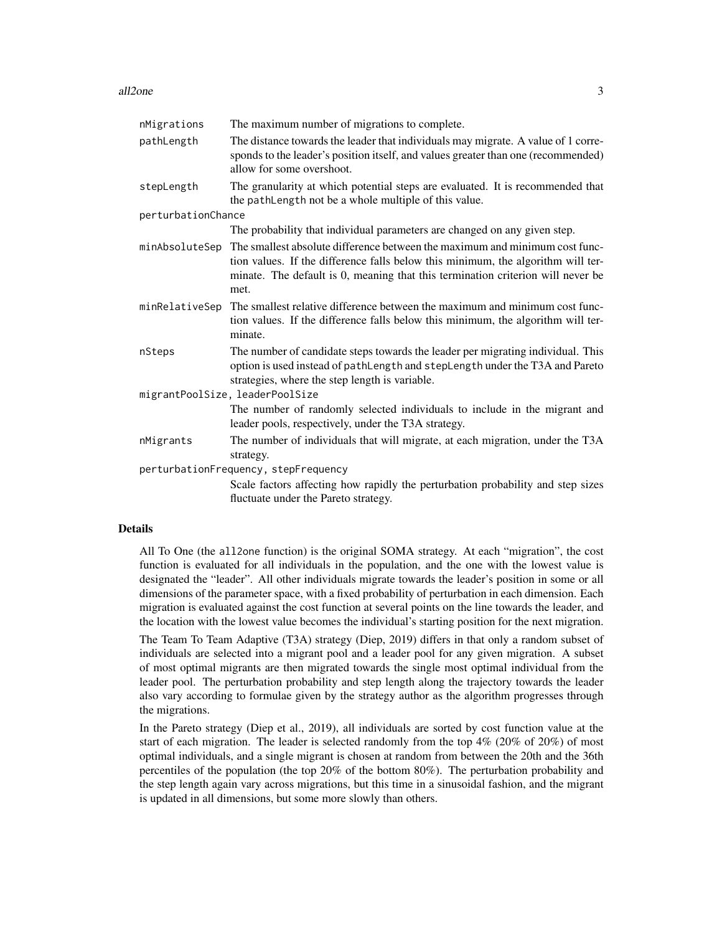#### all2one 3

| nMigrations        | The maximum number of migrations to complete.                                                                                                                                                                                                              |
|--------------------|------------------------------------------------------------------------------------------------------------------------------------------------------------------------------------------------------------------------------------------------------------|
| pathLength         | The distance towards the leader that individuals may migrate. A value of 1 corre-<br>sponds to the leader's position itself, and values greater than one (recommended)<br>allow for some overshoot.                                                        |
| stepLength         | The granularity at which potential steps are evaluated. It is recommended that<br>the pathLength not be a whole multiple of this value.                                                                                                                    |
| perturbationChance |                                                                                                                                                                                                                                                            |
|                    | The probability that individual parameters are changed on any given step.                                                                                                                                                                                  |
| minAbsoluteSep     | The smallest absolute difference between the maximum and minimum cost func-<br>tion values. If the difference falls below this minimum, the algorithm will ter-<br>minate. The default is 0, meaning that this termination criterion will never be<br>met. |
| minRelativeSep     | The smallest relative difference between the maximum and minimum cost func-<br>tion values. If the difference falls below this minimum, the algorithm will ter-<br>minate.                                                                                 |
| nSteps             | The number of candidate steps towards the leader per migrating individual. This<br>option is used instead of pathLength and stepLength under the T3A and Pareto<br>strategies, where the step length is variable.                                          |
|                    | migrantPoolSize, leaderPoolSize                                                                                                                                                                                                                            |
|                    | The number of randomly selected individuals to include in the migrant and<br>leader pools, respectively, under the T3A strategy.                                                                                                                           |
| nMigrants          | The number of individuals that will migrate, at each migration, under the T3A<br>strategy.                                                                                                                                                                 |
|                    | perturbationFrequency, stepFrequency                                                                                                                                                                                                                       |
|                    | Scale factors affecting how rapidly the perturbation probability and step sizes                                                                                                                                                                            |
|                    | fluctuate under the Pareto strategy.                                                                                                                                                                                                                       |

#### Details

All To One (the all2one function) is the original SOMA strategy. At each "migration", the cost function is evaluated for all individuals in the population, and the one with the lowest value is designated the "leader". All other individuals migrate towards the leader's position in some or all dimensions of the parameter space, with a fixed probability of perturbation in each dimension. Each migration is evaluated against the cost function at several points on the line towards the leader, and the location with the lowest value becomes the individual's starting position for the next migration.

The Team To Team Adaptive (T3A) strategy (Diep, 2019) differs in that only a random subset of individuals are selected into a migrant pool and a leader pool for any given migration. A subset of most optimal migrants are then migrated towards the single most optimal individual from the leader pool. The perturbation probability and step length along the trajectory towards the leader also vary according to formulae given by the strategy author as the algorithm progresses through the migrations.

In the Pareto strategy (Diep et al., 2019), all individuals are sorted by cost function value at the start of each migration. The leader is selected randomly from the top  $4\%$  (20% of 20%) of most optimal individuals, and a single migrant is chosen at random from between the 20th and the 36th percentiles of the population (the top 20% of the bottom 80%). The perturbation probability and the step length again vary across migrations, but this time in a sinusoidal fashion, and the migrant is updated in all dimensions, but some more slowly than others.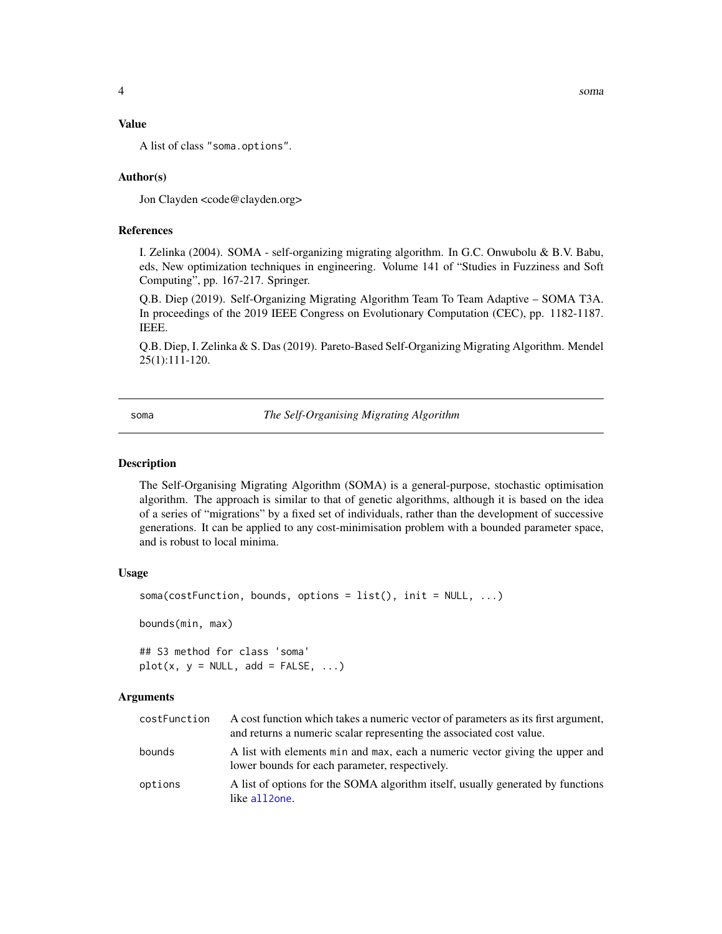#### <span id="page-3-0"></span>Value

A list of class "soma.options".

#### Author(s)

Jon Clayden <code@clayden.org>

#### References

I. Zelinka (2004). SOMA - self-organizing migrating algorithm. In G.C. Onwubolu & B.V. Babu, eds, New optimization techniques in engineering. Volume 141 of "Studies in Fuzziness and Soft Computing", pp. 167-217. Springer.

Q.B. Diep (2019). Self-Organizing Migrating Algorithm Team To Team Adaptive – SOMA T3A. In proceedings of the 2019 IEEE Congress on Evolutionary Computation (CEC), pp. 1182-1187. IEEE.

Q.B. Diep, I. Zelinka & S. Das (2019). Pareto-Based Self-Organizing Migrating Algorithm. Mendel 25(1):111-120.

soma *The Self-Organising Migrating Algorithm*

#### **Description**

The Self-Organising Migrating Algorithm (SOMA) is a general-purpose, stochastic optimisation algorithm. The approach is similar to that of genetic algorithms, although it is based on the idea of a series of "migrations" by a fixed set of individuals, rather than the development of successive generations. It can be applied to any cost-minimisation problem with a bounded parameter space, and is robust to local minima.

#### Usage

```
soma(costFunction, bounds, options = list(), init = NULL, ...)
```
bounds(min, max)

## S3 method for class 'soma'  $plot(x, y = NULL, add = FALSE, ...)$ 

#### Arguments

| costFunction | A cost function which takes a numeric vector of parameters as its first argument,<br>and returns a numeric scalar representing the associated cost value. |
|--------------|-----------------------------------------------------------------------------------------------------------------------------------------------------------|
| bounds       | A list with elements min and max, each a numeric vector giving the upper and<br>lower bounds for each parameter, respectively.                            |
| options      | A list of options for the SOMA algorithm itself, usually generated by functions<br>like all2one.                                                          |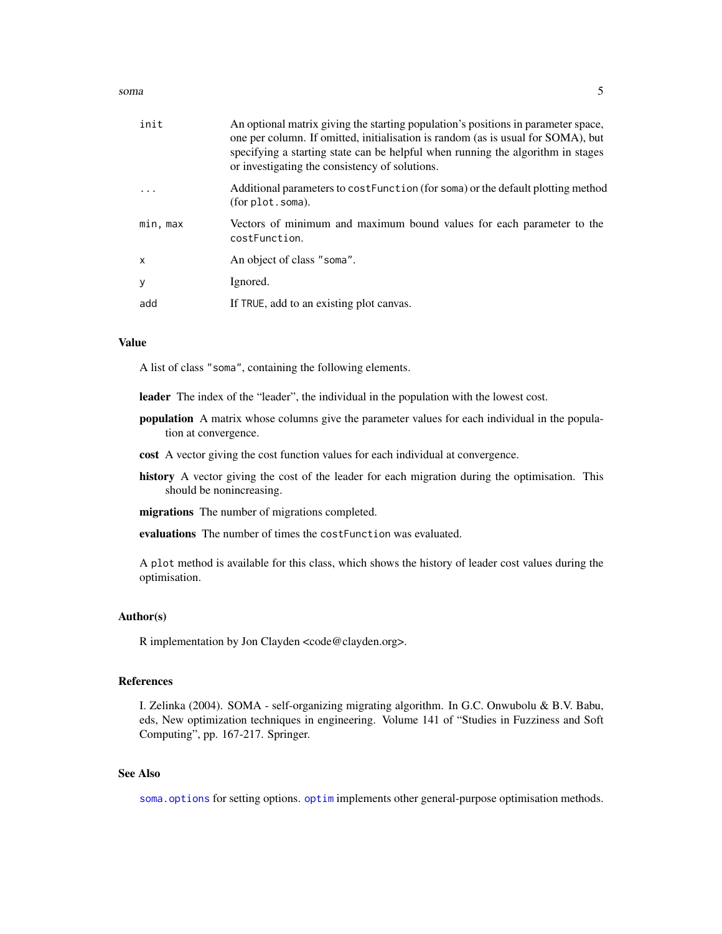#### <span id="page-4-0"></span>soma  $5$

| init     | An optional matrix giving the starting population's positions in parameter space,<br>one per column. If omitted, initialisation is random (as is usual for SOMA), but<br>specifying a starting state can be helpful when running the algorithm in stages<br>or investigating the consistency of solutions. |
|----------|------------------------------------------------------------------------------------------------------------------------------------------------------------------------------------------------------------------------------------------------------------------------------------------------------------|
|          | Additional parameters to cost Function (for soma) or the default plotting method<br>(for plot.soma).                                                                                                                                                                                                       |
| min, max | Vectors of minimum and maximum bound values for each parameter to the<br>costFunction.                                                                                                                                                                                                                     |
| X        | An object of class "soma".                                                                                                                                                                                                                                                                                 |
| y        | Ignored.                                                                                                                                                                                                                                                                                                   |
| add      | If TRUE, add to an existing plot canvas.                                                                                                                                                                                                                                                                   |

#### Value

A list of class "soma", containing the following elements.

leader The index of the "leader", the individual in the population with the lowest cost.

- population A matrix whose columns give the parameter values for each individual in the population at convergence.
- cost A vector giving the cost function values for each individual at convergence.
- history A vector giving the cost of the leader for each migration during the optimisation. This should be nonincreasing.

migrations The number of migrations completed.

evaluations The number of times the costFunction was evaluated.

A plot method is available for this class, which shows the history of leader cost values during the optimisation.

#### Author(s)

R implementation by Jon Clayden <code@clayden.org>.

#### References

I. Zelinka (2004). SOMA - self-organizing migrating algorithm. In G.C. Onwubolu & B.V. Babu, eds, New optimization techniques in engineering. Volume 141 of "Studies in Fuzziness and Soft Computing", pp. 167-217. Springer.

#### See Also

[soma.options](#page-1-2) for setting options.[optim](#page-0-0) implements other general-purpose optimisation methods.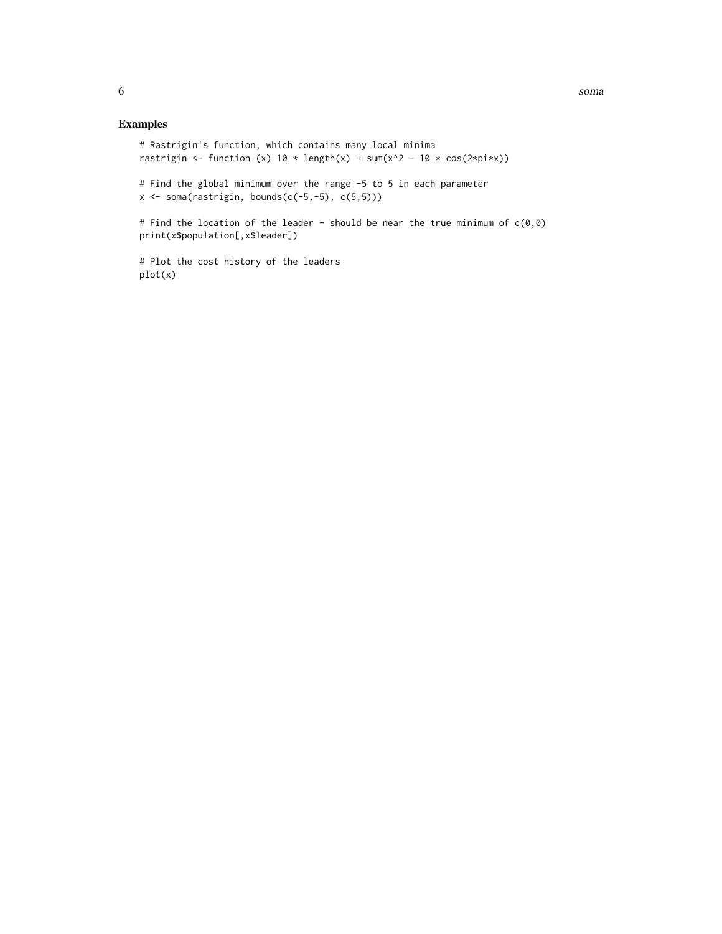### Examples

```
# Rastrigin's function, which contains many local minima
rastrigin <- function (x) 10 * \text{length}(x) + \text{sum}(x^2 - 10 * \text{cos}(2*pi*x))# Find the global minimum over the range -5 to 5 in each parameter
x \leftarrow soma(rastrigin, bounds(c(-5,-5), c(5,5)))
# Find the location of the leader - should be near the true minimum of c(0,0)print(x$population[,x$leader])
# Plot the cost history of the leaders
plot(x)
```